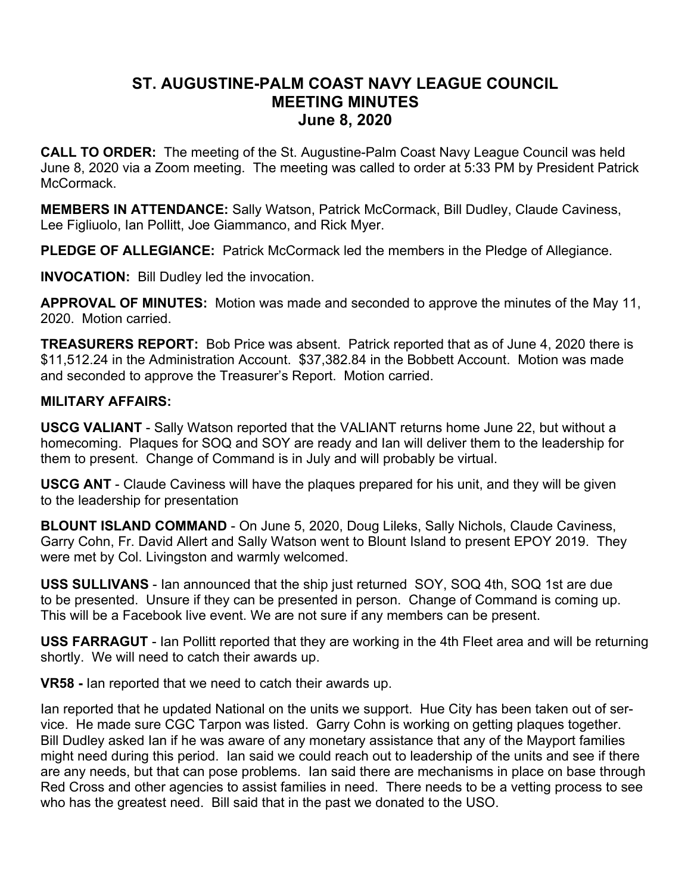# **ST. AUGUSTINE-PALM COAST NAVY LEAGUE COUNCIL MEETING MINUTES June 8, 2020**

**CALL TO ORDER:** The meeting of the St. Augustine-Palm Coast Navy League Council was held June 8, 2020 via a Zoom meeting. The meeting was called to order at 5:33 PM by President Patrick McCormack.

**MEMBERS IN ATTENDANCE:** Sally Watson, Patrick McCormack, Bill Dudley, Claude Caviness, Lee Figliuolo, Ian Pollitt, Joe Giammanco, and Rick Myer.

**PLEDGE OF ALLEGIANCE:** Patrick McCormack led the members in the Pledge of Allegiance.

**INVOCATION:** Bill Dudley led the invocation.

**APPROVAL OF MINUTES:** Motion was made and seconded to approve the minutes of the May 11, 2020. Motion carried.

**TREASURERS REPORT:** Bob Price was absent. Patrick reported that as of June 4, 2020 there is \$11,512.24 in the Administration Account. \$37,382.84 in the Bobbett Account. Motion was made and seconded to approve the Treasurer's Report. Motion carried.

# **MILITARY AFFAIRS:**

**USCG VALIANT** - Sally Watson reported that the VALIANT returns home June 22, but without a homecoming. Plaques for SOQ and SOY are ready and Ian will deliver them to the leadership for them to present. Change of Command is in July and will probably be virtual.

**USCG ANT** - Claude Caviness will have the plaques prepared for his unit, and they will be given to the leadership for presentation

**BLOUNT ISLAND COMMAND** - On June 5, 2020, Doug Lileks, Sally Nichols, Claude Caviness, Garry Cohn, Fr. David Allert and Sally Watson went to Blount Island to present EPOY 2019. They were met by Col. Livingston and warmly welcomed.

**USS SULLIVANS** - Ian announced that the ship just returned SOY, SOQ 4th, SOQ 1st are due to be presented. Unsure if they can be presented in person. Change of Command is coming up. This will be a Facebook live event. We are not sure if any members can be present.

**USS FARRAGUT** - Ian Pollitt reported that they are working in the 4th Fleet area and will be returning shortly. We will need to catch their awards up.

**VR58 -** Ian reported that we need to catch their awards up.

Ian reported that he updated National on the units we support. Hue City has been taken out of service. He made sure CGC Tarpon was listed. Garry Cohn is working on getting plaques together. Bill Dudley asked Ian if he was aware of any monetary assistance that any of the Mayport families might need during this period. Ian said we could reach out to leadership of the units and see if there are any needs, but that can pose problems. Ian said there are mechanisms in place on base through Red Cross and other agencies to assist families in need. There needs to be a vetting process to see who has the greatest need. Bill said that in the past we donated to the USO.